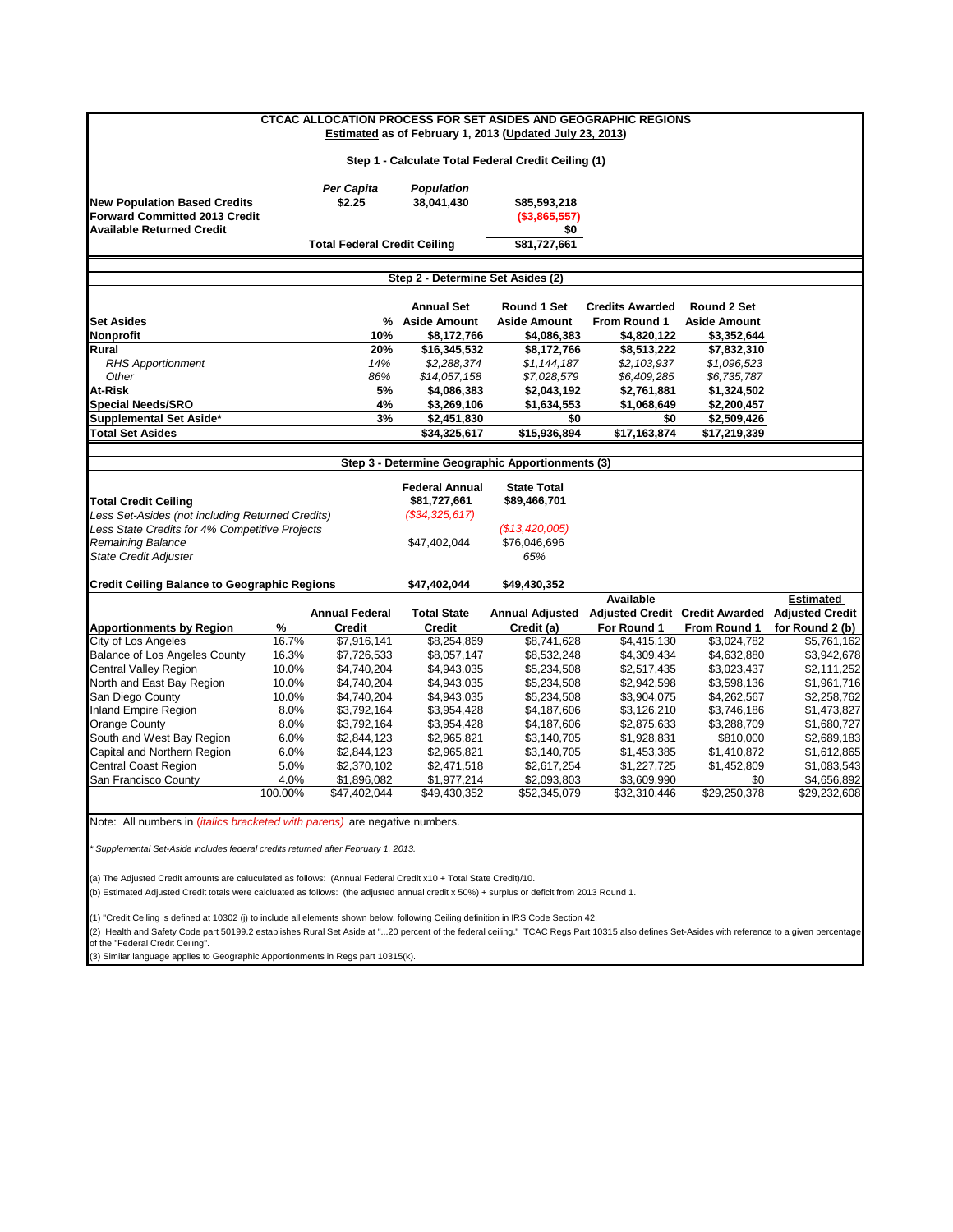| <b>CTCAC ALLOCATION PROCESS FOR SET ASIDES AND GEOGRAPHIC REGIONS</b><br><b>Estimated as of February 1, 2013 (Updated July 23, 2013)</b> |            |                       |                                       |                                                     |                        |                             |                                                |  |  |  |  |
|------------------------------------------------------------------------------------------------------------------------------------------|------------|-----------------------|---------------------------------------|-----------------------------------------------------|------------------------|-----------------------------|------------------------------------------------|--|--|--|--|
|                                                                                                                                          |            |                       |                                       | Step 1 - Calculate Total Federal Credit Ceiling (1) |                        |                             |                                                |  |  |  |  |
| <b>New Population Based Credits</b><br>Forward Committed 2013 Credit                                                                     |            | Per Capita<br>\$2.25  | <b>Population</b><br>38,041,430       | \$85,593,218<br>(\$3,865,557)                       |                        |                             |                                                |  |  |  |  |
| <b>Available Returned Credit</b>                                                                                                         |            |                       |                                       | \$0                                                 |                        |                             |                                                |  |  |  |  |
| <b>Total Federal Credit Ceiling</b>                                                                                                      |            |                       |                                       | \$81,727,661                                        |                        |                             |                                                |  |  |  |  |
|                                                                                                                                          |            |                       | Step 2 - Determine Set Asides (2)     |                                                     |                        |                             |                                                |  |  |  |  |
|                                                                                                                                          |            |                       | <b>Annual Set</b>                     | <b>Round 1 Set</b>                                  | <b>Credits Awarded</b> | Round 2 Set                 |                                                |  |  |  |  |
| <b>Set Asides</b>                                                                                                                        |            |                       | % Aside Amount                        | <b>Aside Amount</b>                                 | From Round 1           | <b>Aside Amount</b>         |                                                |  |  |  |  |
| <b>Nonprofit</b>                                                                                                                         |            | 10%                   | \$8,172,766                           | \$4,086,383                                         | \$4,820,122            | \$3,352,644                 |                                                |  |  |  |  |
| Rural                                                                                                                                    |            | 20%                   | \$16,345,532                          | \$8,172,766                                         | \$8,513,222            | \$7,832,310                 |                                                |  |  |  |  |
| <b>RHS Apportionment</b>                                                                                                                 |            | 14%                   | \$2,288,374                           | \$1,144,187                                         | \$2,103,937            | \$1,096,523                 |                                                |  |  |  |  |
| Other                                                                                                                                    |            | 86%                   | \$14,057,158                          | \$7,028,579                                         | \$6,409,285            | \$6,735,787                 |                                                |  |  |  |  |
| At-Risk                                                                                                                                  |            | 5%                    | \$4,086,383                           | \$2,043,192                                         | \$2,761,881            | \$1,324,502                 |                                                |  |  |  |  |
| <b>Special Needs/SRO</b>                                                                                                                 |            | 4%                    | \$3,269,106                           | \$1,634,553                                         | \$1,068,649            | \$2,200,457                 |                                                |  |  |  |  |
| Supplemental Set Aside*                                                                                                                  |            | 3%                    | \$2,451,830                           | \$0                                                 | \$0                    | \$2,509,426                 |                                                |  |  |  |  |
| <b>Total Set Asides</b>                                                                                                                  |            |                       | \$34,325,617                          | \$15,936,894                                        | \$17,163,874           | \$17,219,339                |                                                |  |  |  |  |
|                                                                                                                                          |            |                       |                                       |                                                     |                        |                             |                                                |  |  |  |  |
|                                                                                                                                          |            |                       |                                       | Step 3 - Determine Geographic Apportionments (3)    |                        |                             |                                                |  |  |  |  |
| <b>Total Credit Ceiling</b>                                                                                                              |            |                       | <b>Federal Annual</b><br>\$81,727,661 | <b>State Total</b><br>\$89,466,701                  |                        |                             |                                                |  |  |  |  |
| Less Set-Asides (not including Returned Credits)                                                                                         |            |                       | (\$34,325,617)                        |                                                     |                        |                             |                                                |  |  |  |  |
| Less State Credits for 4% Competitive Projects                                                                                           |            |                       |                                       | (\$13,420,005)                                      |                        |                             |                                                |  |  |  |  |
| Remaining Balance                                                                                                                        |            |                       | \$47,402,044                          | \$76,046,696                                        |                        |                             |                                                |  |  |  |  |
| <b>State Credit Adjuster</b>                                                                                                             |            |                       |                                       | 65%                                                 |                        |                             |                                                |  |  |  |  |
| <b>Credit Ceiling Balance to Geographic Regions</b>                                                                                      |            |                       | \$47,402,044                          | \$49,430,352                                        |                        |                             |                                                |  |  |  |  |
|                                                                                                                                          |            |                       |                                       |                                                     | Available              |                             | Estimated                                      |  |  |  |  |
|                                                                                                                                          |            | <b>Annual Federal</b> | <b>Total State</b>                    | <b>Annual Adjusted</b>                              | For Round 1            |                             | Adjusted Credit Credit Awarded Adjusted Credit |  |  |  |  |
| <b>Apportionments by Region</b><br>City of Los Angeles                                                                                   | %<br>16.7% | Credit<br>\$7,916,141 | Credit<br>\$8,254,869                 | Credit (a)<br>\$8,741,628                           | \$4,415,130            | From Round 1<br>\$3,024,782 | for Round 2 (b)<br>\$5,761,162                 |  |  |  |  |
| Balance of Los Angeles County                                                                                                            | 16.3%      | \$7,726,533           | \$8,057,147                           | \$8,532,248                                         | \$4,309,434            | \$4,632,880                 | \$3,942,678                                    |  |  |  |  |
| Central Valley Region                                                                                                                    | 10.0%      | \$4,740,204           | \$4,943,035                           | \$5,234,508                                         | \$2,517,435            | \$3,023,437                 | \$2,111,252                                    |  |  |  |  |
| North and East Bay Region                                                                                                                | 10.0%      | \$4,740,204           | \$4,943,035                           | \$5,234,508                                         | \$2,942,598            | \$3,598,136                 | \$1,961,716                                    |  |  |  |  |
| San Diego County                                                                                                                         | 10.0%      | \$4,740,204           | \$4,943,035                           | \$5,234,508                                         | \$3,904,075            | \$4,262,567                 | \$2,258,762                                    |  |  |  |  |
| Inland Empire Region                                                                                                                     | 8.0%       | \$3,792,164           | \$3,954,428                           | \$4,187,606                                         | \$3,126,210            | \$3,746,186                 | \$1,473,827                                    |  |  |  |  |
| Orange County                                                                                                                            | 8.0%       | \$3,792,164           | \$3,954,428                           | \$4,187,606                                         | \$2,875,633            | \$3,288,709                 | \$1,680,727                                    |  |  |  |  |
| South and West Bay Region                                                                                                                | 6.0%       | \$2,844,123           | \$2,965,821                           | \$3,140,705                                         | \$1,928,831            | \$810,000                   | \$2,689,183                                    |  |  |  |  |
| Capital and Northern Region                                                                                                              | 6.0%       | \$2,844,123           | \$2,965,821                           | \$3,140,705                                         | \$1,453,385            | \$1,410,872                 | \$1,612,865                                    |  |  |  |  |
| Central Coast Region                                                                                                                     | 5.0%       | \$2,370,102           | \$2,471,518                           | \$2,617,254                                         | \$1,227,725            | \$1,452,809                 | \$1,083,543                                    |  |  |  |  |
| San Francisco County                                                                                                                     | 4.0%       | \$1,896,082           | \$1,977,214                           | \$2,093,803                                         | \$3,609,990            | \$0                         | \$4,656,892                                    |  |  |  |  |
|                                                                                                                                          | 100.00%    | \$47,402,044          | \$49,430,352                          | \$52,345,079                                        | \$32,310,446           | \$29,250,378                | \$29,232,608                                   |  |  |  |  |
| Note: All numbers in <i>(italics bracketed with parens)</i> are negative numbers.                                                        |            |                       |                                       |                                                     |                        |                             |                                                |  |  |  |  |
| Supplemental Set-Aside includes federal credits returned after February 1, 2013.                                                         |            |                       |                                       |                                                     |                        |                             |                                                |  |  |  |  |

(a) The Adjusted Credit amounts are caluculated as follows: (Annual Federal Credit x10 + Total State Credit)/10.

(b) Estimated Adjusted Credit totals were calcluated as follows: (the adjusted annual credit x 50%) + surplus or deficit from 2013 Round 1.

(1) "Credit Ceiling is defined at 10302 (j) to include all elements shown below, following Ceiling definition in IRS Code Section 42.

(2) Health and Safety Code part 50199.2 establishes Rural Set Aside at "...20 percent of the federal ceiling." TCAC Regs Part 10315 also defines Set-Asides with reference to a given percentage<br>of the "Federal Credit Ceil

(3) Similar language applies to Geographic Apportionments in Regs part 10315(k).